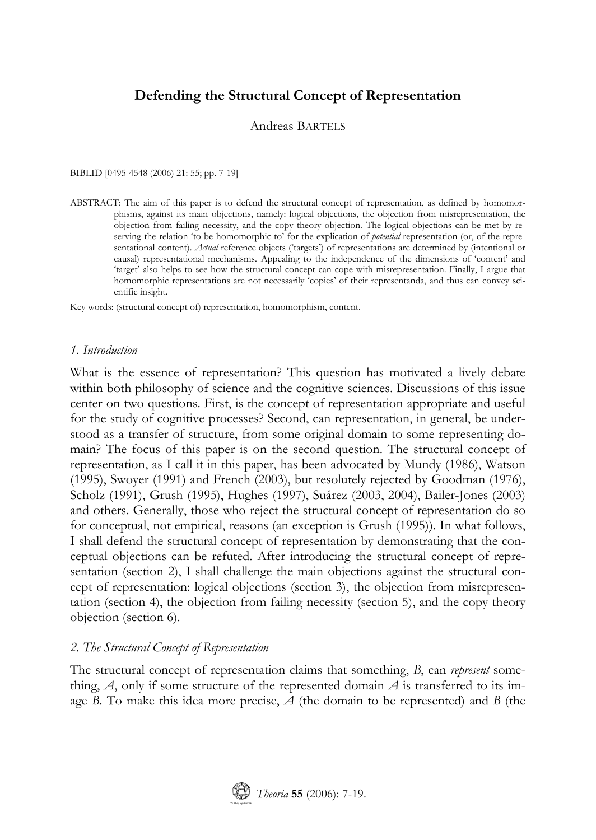# **Defending the Structural Concept of Representation**

Andreas BARTELS

BIBLID [0495-4548 (2006) 21: 55; pp. 7-19]

ABSTRACT: The aim of this paper is to defend the structural concept of representation, as defined by homomorphisms, against its main objections, namely: logical objections, the objection from misrepresentation, the objection from failing necessity, and the copy theory objection. The logical objections can be met by reserving the relation 'to be homomorphic to' for the explication of *potential* representation (or, of the representational content). *Actual* reference objects ('targets') of representations are determined by (intentional or causal) representational mechanisms. Appealing to the independence of the dimensions of 'content' and 'target' also helps to see how the structural concept can cope with misrepresentation. Finally, I argue that homomorphic representations are not necessarily 'copies' of their representanda, and thus can convey scientific insight.

Key words: (structural concept of) representation, homomorphism, content.

# *1. Introduction*

What is the essence of representation? This question has motivated a lively debate within both philosophy of science and the cognitive sciences. Discussions of this issue center on two questions. First, is the concept of representation appropriate and useful for the study of cognitive processes? Second, can representation, in general, be understood as a transfer of structure, from some original domain to some representing domain? The focus of this paper is on the second question. The structural concept of representation, as I call it in this paper, has been advocated by Mundy (1986), Watson (1995), Swoyer (1991) and French (2003), but resolutely rejected by Goodman (1976), Scholz (1991), Grush (1995), Hughes (1997), Suárez (2003, 2004), Bailer-Jones (2003) and others. Generally, those who reject the structural concept of representation do so for conceptual, not empirical, reasons (an exception is Grush (1995)). In what follows, I shall defend the structural concept of representation by demonstrating that the conceptual objections can be refuted. After introducing the structural concept of representation (section 2), I shall challenge the main objections against the structural concept of representation: logical objections (section 3), the objection from misrepresentation (section 4), the objection from failing necessity (section 5), and the copy theory objection (section 6).

# *2. The Structural Concept of Representation*

The structural concept of representation claims that something, *B*, can *represent* something,  $A$ , only if some structure of the represented domain  $A$  is transferred to its image *B*. To make this idea more precise, *A* (the domain to be represented) and *B* (the

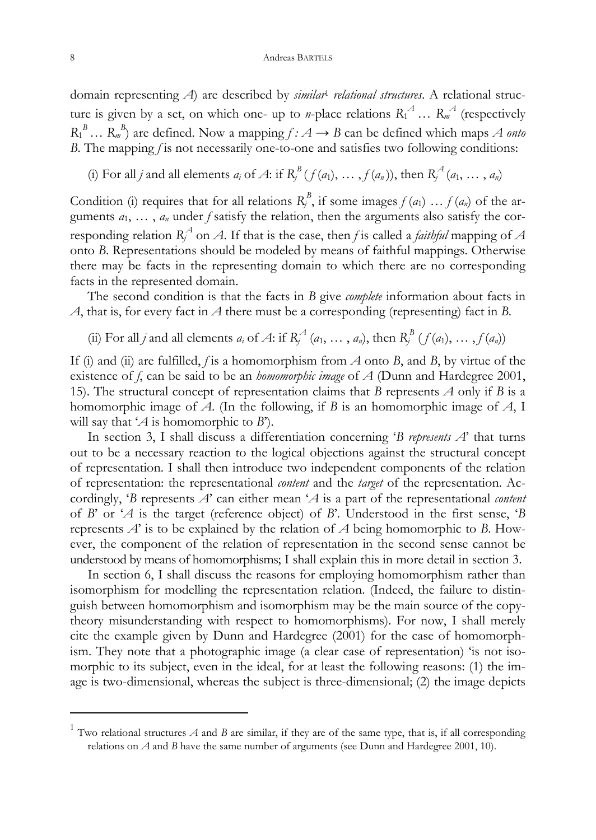domain representing *A*) are described by *similar*<sup>1</sup> *relational structures*. A relational structure is given by a set, on which one- up to *n*-place relations  $R_1^A$  ...  $R_m^A$  (respectively  $R_1^B$  ...  $R_m^B$  are defined. Now a mapping  $f : A \rightarrow B$  can be defined which maps *A onto B*. The mapping *f* is not necessarily one-to-one and satisfies two following conditions:

(i) For all *j* and all elements  $a_i$  of A: if  $R_j^B(f(a_1), \ldots, f(a_n))$ , then  $R_j^A(a_1, \ldots, a_n)$ 

Condition (i) requires that for all relations  $R_j^B$ , if some images  $f(a_1) \ldots f(a_n)$  of the arguments *a*1, … , *an* under *f* satisfy the relation, then the arguments also satisfy the corresponding relation  $R_f^A$  on *A*. If that is the case, then *f* is called a *faithful* mapping of *A* onto *B*. Representations should be modeled by means of faithful mappings. Otherwise there may be facts in the representing domain to which there are no corresponding facts in the represented domain.

 The second condition is that the facts in *B* give *complete* information about facts in *A*, that is, for every fact in *A* there must be a corresponding (representing) fact in *B*.

(ii) For all *j* and all elements  $a_i$  of A: if  $R_i^A$  ( $a_1, \ldots, a_n$ ), then  $R_i^B$  ( $f(a_1), \ldots, f(a_n)$ )

If (i) and (ii) are fulfilled, *f* is a homomorphism from *A* onto *B*, and *B*, by virtue of the existence of *f*, can be said to be an *homomorphic image* of *A* (Dunn and Hardegree 2001, 15). The structural concept of representation claims that *B* represents *A* only if *B* is a homomorphic image of *A*. (In the following, if *B* is an homomorphic image of *A*, I will say that '*A* is homomorphic to *B*').

 In section 3, I shall discuss a differentiation concerning '*B represents A*' that turns out to be a necessary reaction to the logical objections against the structural concept of representation. I shall then introduce two independent components of the relation of representation: the representational *content* and the *target* of the representation. Accordingly, '*B* represents *A*' can either mean '*A* is a part of the representational *content* of *B*' or '*A* is the target (reference object) of *B*'. Understood in the first sense, '*B* represents *A*' is to be explained by the relation of *A* being homomorphic to *B*. However, the component of the relation of representation in the second sense cannot be understood by means of homomorphisms; I shall explain this in more detail in section 3.

 In section 6, I shall discuss the reasons for employing homomorphism rather than isomorphism for modelling the representation relation. (Indeed, the failure to distinguish between homomorphism and isomorphism may be the main source of the copytheory misunderstanding with respect to homomorphisms). For now, I shall merely cite the example given by Dunn and Hardegree (2001) for the case of homomorphism. They note that a photographic image (a clear case of representation) 'is not isomorphic to its subject, even in the ideal, for at least the following reasons: (1) the image is two-dimensional, whereas the subject is three-dimensional; (2) the image depicts

 $\ddot{\phantom{a}}$ 

<sup>&</sup>lt;sup>1</sup> Two relational structures  $A$  and  $B$  are similar, if they are of the same type, that is, if all corresponding relations on *A* and *B* have the same number of arguments (see Dunn and Hardegree 2001, 10).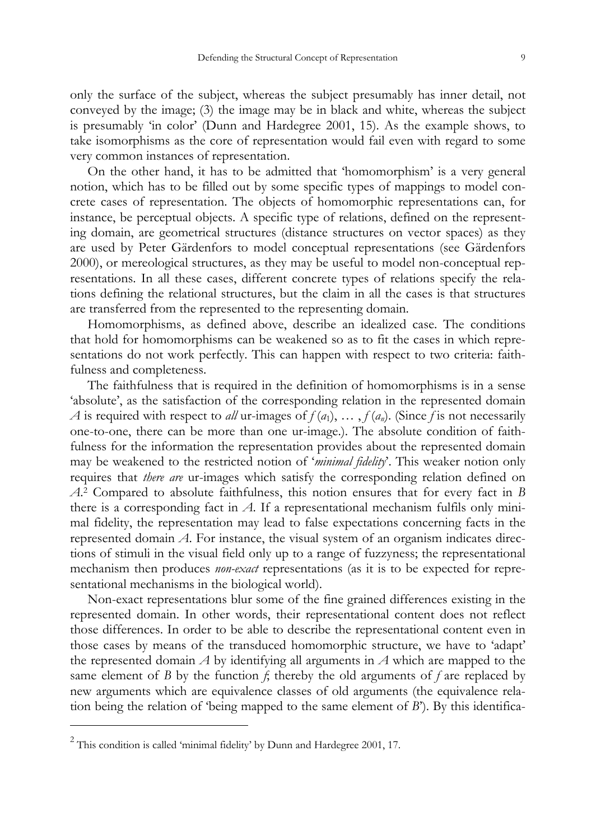only the surface of the subject, whereas the subject presumably has inner detail, not conveyed by the image; (3) the image may be in black and white, whereas the subject is presumably 'in color' (Dunn and Hardegree 2001, 15). As the example shows, to take isomorphisms as the core of representation would fail even with regard to some very common instances of representation.

 On the other hand, it has to be admitted that 'homomorphism' is a very general notion, which has to be filled out by some specific types of mappings to model concrete cases of representation. The objects of homomorphic representations can, for instance, be perceptual objects. A specific type of relations, defined on the representing domain, are geometrical structures (distance structures on vector spaces) as they are used by Peter Gärdenfors to model conceptual representations (see Gärdenfors 2000), or mereological structures, as they may be useful to model non-conceptual representations. In all these cases, different concrete types of relations specify the relations defining the relational structures, but the claim in all the cases is that structures are transferred from the represented to the representing domain.

 Homomorphisms, as defined above, describe an idealized case. The conditions that hold for homomorphisms can be weakened so as to fit the cases in which representations do no[t w](#page-2-0)ork perfectly. This can happen with respect to two criteria: faithfulness and completeness.

 The faithfulness that is required in the definition of homomorphisms is in a sense 'absolute', as the satisfaction of the corresponding relation in the represented domain *A* is required with respect to *all* ur-images of  $f(a_1), \ldots, f(a_n)$ . (Since *f* is not necessarily one-to-one, there can be more than one ur-image.). The absolute condition of faithfulness for the information the representation provides about the represented domain may be weakened to the restricted notion of '*minimal fidelity*'. This weaker notion only requires that *there are* ur-images which satisfy the corresponding relation defined on *A*. 2 Compared to absolute faithfulness, this notion ensures that for every fact in *B*  there is a corresponding fact in *A*. If a representational mechanism fulfils only minimal fidelity, the representation may lead to false expectations concerning facts in the represented domain *A*. For instance, the visual system of an organism indicates directions of stimuli in the visual field only up to a range of fuzzyness; the representational mechanism then produces *non-exact* representations (as it is to be expected for representational mechanisms in the biological world).

 Non-exact representations blur some of the fine grained differences existing in the represented domain. In other words, their representational content does not reflect those differences. In order to be able to describe the representational content even in those cases by means of the transduced homomorphic structure, we have to 'adapt' the represented domain *A* by identifying all arguments in *A* which are mapped to the same element of *B* by the function  $f$ ; thereby the old arguments of  $f$  are replaced by new arguments which are equivalence classes of old arguments (the equivalence relation being the relation of 'being mapped to the same element of *B*'). By this identifica-

 $\overline{a}$ 

<span id="page-2-0"></span> $2$  This condition is called 'minimal fidelity' by Dunn and Hardegree 2001, 17.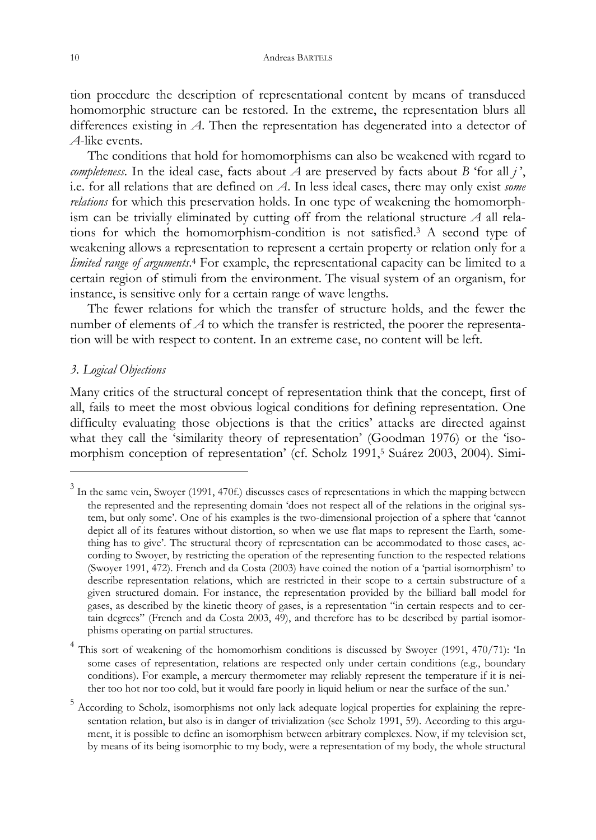<span id="page-3-2"></span>tion procedure the description of representational content by means of trans[du](#page-3-0)ced homomorphic structure can be restored. In the extreme, the representation blurs all differences existing in *A*. Then the r[ep](#page-3-1)resentation has degenerated into a detector of *A*-like events.

 The conditions that hold for homomorphisms can also be weakened with regard to *completeness*. In the ideal case, facts about  $\hat{A}$  are preserved by facts about *B* 'for all *j'*, i.e. for all relations that are defined on *A*. In less ideal cases, there may only exist *some relations* for which this preservation holds. In one type of weakening the homomorphism can be trivially eliminated by cutting off from the relational structure *A* all relations for which the homomorphism-condition is not satisfied.3 A second type of weakening allows a representation to represent a certain property or relation only for a *limited range of arguments*. 4 For example, the representational capacity can be limited to a certain region of stimuli from the environment. The visual system of an organism, for instance, is sensitive only for a certain range of wave lengths.

 The fewer relations for which the transfer of structure holds, and t[he](#page-3-2) fewer the number of elements of *A* to which the transfer is restricted, the poorer the representation will be with respect to content. In an extreme case, no content will be left.

## *3. Logical Objections*

 $\overline{a}$ 

Many critics of the structural concept of representation think that the concept, first of all, fails to meet the most obvious logical conditions for defining representation. One difficulty evaluating those objections is that the critics' attacks are directed against what they call the 'similarity theory of representation' (Goodman 1976) or the 'isomorphism conception of representation' (cf. Scholz 1991,<sup>5</sup> Suárez 2003, 2004). Simi-

<span id="page-3-0"></span> $3$  In the same vein, Swoyer (1991, 470f.) discusses cases of representations in which the mapping between the represented and the representing domain 'does not respect all of the relations in the original system, but only some'. One of his examples is the two-dimensional projection of a sphere that 'cannot depict all of its features without distortion, so when we use flat maps to represent the Earth, something has to give'. The structural theory of representation can be accommodated to those cases, according to Swoyer, by restricting the operation of the representing function to the respected relations (Swoyer 1991, 472). French and da Costa (2003) have coined the notion of a 'partial isomorphism' to describe representation relations, which are restricted in their scope to a certain substructure of a given structured domain. For instance, the representation provided by the billiard ball model for gases, as described by the kinetic theory of gases, is a representation "in certain respects and to certain degrees" (French and da Costa 2003, 49), and therefore has to be described by partial isomorphisms operating on partial structures.

<span id="page-3-1"></span><sup>&</sup>lt;sup>4</sup> This sort of weakening of the homomorhism conditions is discussed by Swoyer (1991, 470/71): 'In some cases of representation, relations are respected only under certain conditions (e.g., boundary conditions). For example, a mercury thermometer may reliably represent the temperature if it is neither too hot nor too cold, but it would fare poorly in liquid helium or near the surface of the sun.'

<sup>&</sup>lt;sup>5</sup> According to Scholz, isomorphisms not only lack adequate logical properties for explaining the representation relation, but also is in danger of trivialization (see Scholz 1991, 59). According to this argument, it is possible to define an isomorphism between arbitrary complexes. Now, if my television set, by means of its being isomorphic to my body, were a representation of my body, the whole structural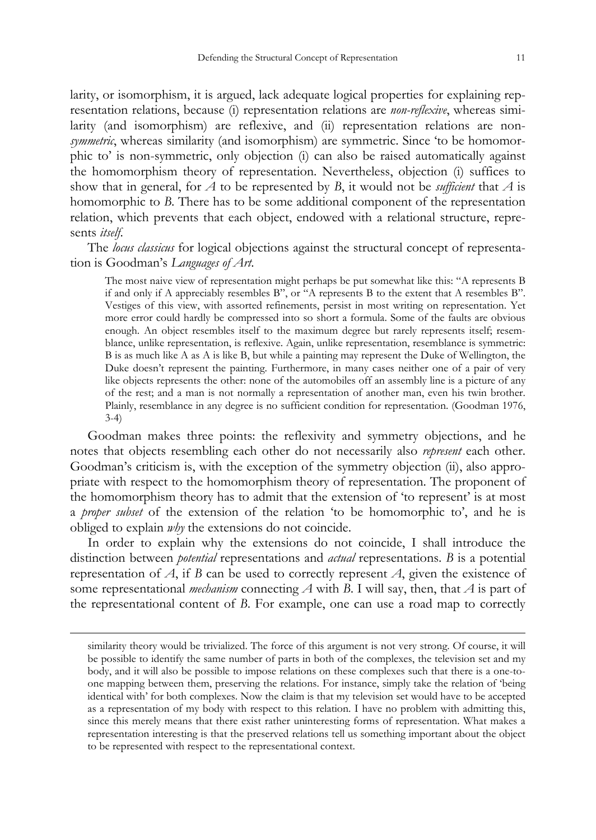larity, or isomorphism, it is argued, lack adequate logical properties for explaining representation relations, because (i) representation relations are *non-reflexive*, whereas similarity (and isomorphism) are reflexive, and (ii) representation relations are non*symmetric*, whereas similarity (and isomorphism) are symmetric. Since 'to be homomorphic to' is non-symmetric, only objection (i) can also be raised automatically against the homomorphism theory of representation. Nevertheless, objection (i) suffices to show that in general, for *A* to be represented by *B*, it would not be *sufficient* that *A* is homomorphic to *B*. There has to be some additional component of the representation relation, which prevents that each object, endowed with a relational structure, represents *itself*.

 The *locus classicus* for logical objections against the structural concept of representation is Goodman's *Languages of Art*.

The most naive view of representation might perhaps be put somewhat like this: "A represents B if and only if A appreciably resembles B", or "A represents B to the extent that A resembles B". Vestiges of this view, with assorted refinements, persist in most writing on representation. Yet more error could hardly be compressed into so short a formula. Some of the faults are obvious enough. An object resembles itself to the maximum degree but rarely represents itself; resemblance, unlike representation, is reflexive. Again, unlike representation, resemblance is symmetric: B is as much like A as A is like B, but while a painting may represent the Duke of Wellington, the Duke doesn't represent the painting. Furthermore, in many cases neither one of a pair of very like objects represents the other: none of the automobiles off an assembly line is a picture of any of the rest; and a man is not normally a representation of another man, even his twin brother. Plainly, resemblance in any degree is no sufficient condition for representation. (Goodman 1976, 3-4)

 Goodman makes three points: the reflexivity and symmetry objections, and he notes that objects resembling each other do not necessarily also *represent* each other. Goodman's criticism is, with the exception of the symmetry objection (ii), also appropriate with respect to the homomorphism theory of representation. The proponent of the homomorphism theory has to admit that the extension of 'to represent' is at most a *proper subset* of the extension of the relation 'to be homomorphic to', and he is obliged to explain *why* the extensions do not coincide.

 In order to explain why the extensions do not coincide, I shall introduce the distinction between *potential* representations and *actual* representations. *B* is a potential representation of *A*, if *B* can be used to correctly represent *A*, given the existence of some representational *mechanism* connecting *A* with *B*. I will say, then, that *A* is part of the representational content of *B*. For example, one can use a road map to correctly

similarity theory would be trivialized. The force of this argument is not very strong. Of course, it will be possible to identify the same number of parts in both of the complexes, the television set and my body, and it will also be possible to impose relations on these complexes such that there is a one-toone mapping between them, preserving the relations. For instance, simply take the relation of 'being identical with' for both complexes. Now the claim is that my television set would have to be accepted as a representation of my body with respect to this relation. I have no problem with admitting this, since this merely means that there exist rather uninteresting forms of representation. What makes a representation interesting is that the preserved relations tell us something important about the object to be represented with respect to the representational context.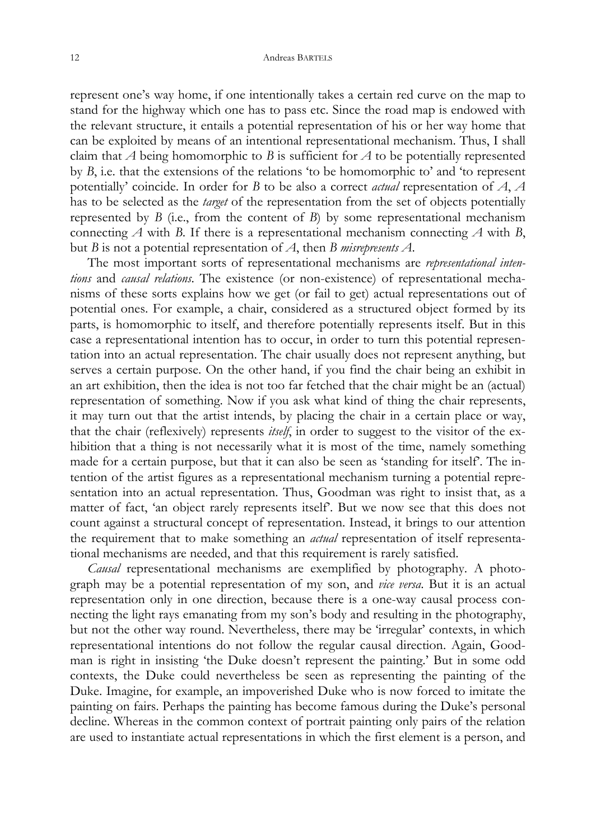represent one's way home, if one intentionally takes a certain red curve on the map to stand for the highway which one has to pass etc. Since the road map is endowed with the relevant structure, it entails a potential representation of his or her way home that can be exploited by means of an intentional representational mechanism. Thus, I shall claim that *A* being homomorphic to *B* is sufficient for *A* to be potentially represented by *B*, i.e. that the extensions of the relations 'to be homomorphic to' and 'to represent potentially' coincide. In order for *B* to be also a correct *actual* representation of *A*, *A* has to be selected as the *target* of the representation from the set of objects potentially represented by *B* (i.e., from the content of *B*) by some representational mechanism connecting *A* with *B*. If there is a representational mechanism connecting *A* with *B*, but *B* is not a potential representation of *A*, then *B misrepresents A*.

 The most important sorts of representational mechanisms are *representational intentions* and *causal relations*. The existence (or non-existence) of representational mechanisms of these sorts explains how we get (or fail to get) actual representations out of potential ones. For example, a chair, considered as a structured object formed by its parts, is homomorphic to itself, and therefore potentially represents itself. But in this case a representational intention has to occur, in order to turn this potential representation into an actual representation. The chair usually does not represent anything, but serves a certain purpose. On the other hand, if you find the chair being an exhibit in an art exhibition, then the idea is not too far fetched that the chair might be an (actual) representation of something. Now if you ask what kind of thing the chair represents, it may turn out that the artist intends, by placing the chair in a certain place or way, that the chair (reflexively) represents *itself*, in order to suggest to the visitor of the exhibition that a thing is not necessarily what it is most of the time, namely something made for a certain purpose, but that it can also be seen as 'standing for itself'. The intention of the artist figures as a representational mechanism turning a potential representation into an actual representation. Thus, Goodman was right to insist that, as a matter of fact, 'an object rarely represents itself'. But we now see that this does not count against a structural concept of representation. Instead, it brings to our attention the requirement that to make something an *actual* representation of itself representational mechanisms are needed, and that this requirement is rarely satisfied.

 *Causal* representational mechanisms are exemplified by photography. A photograph may be a potential representation of my son, and *vice versa*. But it is an actual representation only in one direction, because there is a one-way causal process connecting the light rays emanating from my son's body and resulting in the photography, but not the other way round. Nevertheless, there may be 'irregular' contexts, in which representational intentions do not follow the regular causal direction. Again, Goodman is right in insisting 'the Duke doesn't represent the painting.' But in some odd contexts, the Duke could nevertheless be seen as representing the painting of the Duke. Imagine, for example, an impoverished Duke who is now forced to imitate the painting on fairs. Perhaps the painting has become famous during the Duke's personal decline. Whereas in the common context of portrait painting only pairs of the relation are used to instantiate actual representations in which the first element is a person, and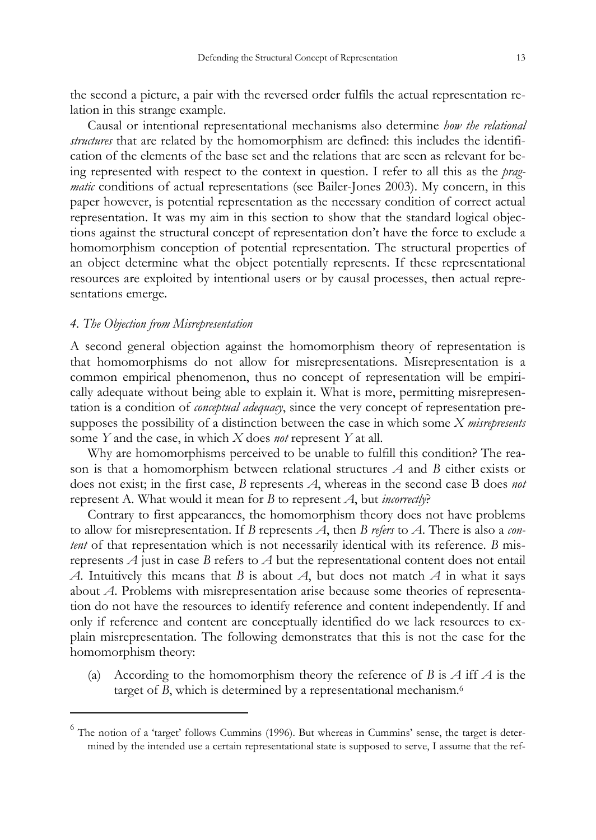the second a picture, a pair with the reversed order fulfils the actual representation relation in this strange example.

 Causal or intentional representational mechanisms also determine *how the relational structures* that are related by the homomorphism are defined: this includes the identification of the elements of the base set and the relations that are seen as relevant for being represented with respect to the context in question. I refer to all this as the *pragmatic* conditions of actual representations (see Bailer-Jones 2003). My concern, in this paper however, is potential representation as the necessary condition of correct actual representation. It was my aim in this section to show that the standard logical objections against the structural concept of representation don't have the force to exclude a homomorphism conception of potential representation. The structural properties of an object determine what the object potentially represents. If these representational resources are exploited by intentional users or by causal processes, then actual representations emerge.

### *4. The Objection from Misrepresentation*

 $\ddot{\phantom{a}}$ 

A second general objection against the homomorphism theory of representation is that homomorphisms do not allow for misrepresentations. Misrepresentation is a common empirical phenomenon, thus no concept of representation will be empirically adequate without being able to explain it. What is more, permitting misrepresentation is a condition of *conceptual adequacy*, since the very concept of representation presupposes the possibility of a distinction between the case in which some *X misrepresents* some *Y* and the case, in which *X* does *not* represent *Y* at all.

 Why are homomorphisms perceived to be unable to fulfill this condition? The reason is that a homomorphism between relational structures *A* and *B* either exists or does not exist; in the first case, *B* represents *A*, whereas in the second case B does *not* represent A. What would it mean for *B* to represent *A*, but *incorrectly*?

 Contrary to first appearances, the homomorphism theory does not have problems to allow for misrepresentation. If *B* represents *A*, then *B refers* to *A*. There is also a *content* of that representation which is not necessarily identical with its reference. *B* misrepresents *A* just in case *B* refers to *A* but the representational content does not entail *A*. Intuitively this means that *B* is about *A*, but does not match *A* in what it says about *A*. Problems with misrepresentation arise because some theories of representation do not have the resources to identify reference and content independently. If and only if reference and content are conceptually identified do we lack resources to explain misrepresentation. The following demonstrates that this is not the case for the homomorphism theory:

(a) According to the homomorphism theory the reference of *B* is *A* iff *A* is the target of *B*, which is determined by a representational mechanism.<sup>6</sup>

<sup>&</sup>lt;sup>6</sup> The notion of a 'target' follows Cummins (1996). But whereas in Cummins' sense, the target is determined by the intended use a certain representational state is supposed to serve, I assume that the ref-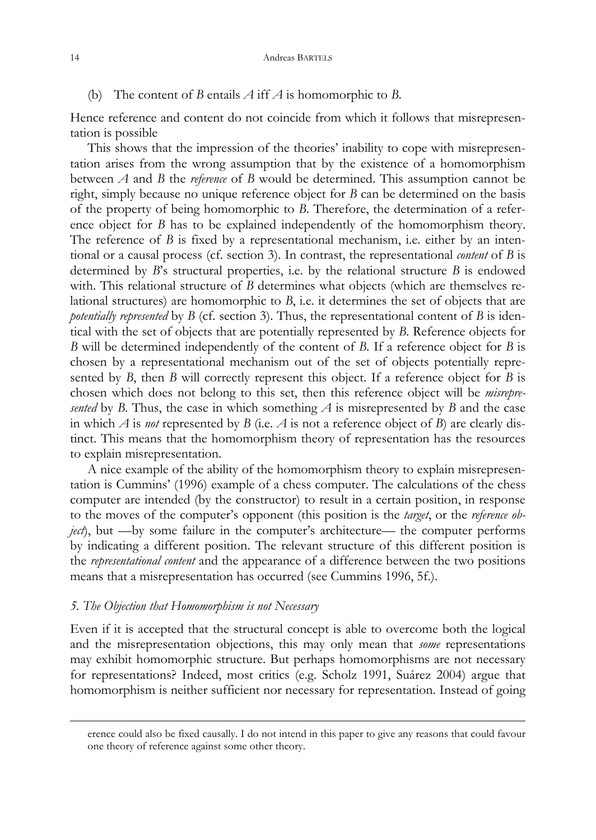(b) The content of *B* entails *A* iff *A* is homomorphic to *B*.

Hence reference and content do not coincide from which it follows that misrepresentation is possible

 This shows that the impression of the theories' inability to cope with misrepresentation arises from the wrong assumption that by the existence of a homomorphism between *A* and *B* the *reference* of *B* would be determined. This assumption cannot be right, simply because no unique reference object for *B* can be determined on the basis of the property of being homomorphic to *B*. Therefore, the determination of a reference object for *B* has to be explained independently of the homomorphism theory. The reference of *B* is fixed by a representational mechanism, i.e. either by an intentional or a causal process (cf. section 3). In contrast, the representational *content* of *B* is determined by *B*'s structural properties, i.e. by the relational structure *B* is endowed with. This relational structure of *B* determines what objects (which are themselves relational structures) are homomorphic to *B*, i.e. it determines the set of objects that are *potentially represented* by *B* (cf. section 3). Thus, the representational content of *B* is identical with the set of objects that are potentially represented by *B*. Reference objects for *B* will be determined independently of the content of *B*. If a reference object for *B* is chosen by a representational mechanism out of the set of objects potentially represented by *B*, then *B* will correctly represent this object. If a reference object for *B* is chosen which does not belong to this set, then this reference object will be *misrepresented* by *B*. Thus, the case in which something  $\overline{A}$  is misrepresented by *B* and the case in which  $A$  is *not* represented by  $B$  (i.e.  $A$  is not a reference object of  $B$ ) are clearly distinct. This means that the homomorphism theory of representation has the resources to explain misrepresentation.

 A nice example of the ability of the homomorphism theory to explain misrepresentation is Cummins' (1996) example of a chess computer. The calculations of the chess computer are intended (by the constructor) to result in a certain position, in response to the moves of the computer's opponent (this position is the *target*, or the *reference object*), but —by some failure in the computer's architecture— the computer performs by indicating a different position. The relevant structure of this different position is the *representational content* and the appearance of a difference between the two positions means that a misrepresentation has occurred (see Cummins 1996, 5f.).

#### *5. The Objection that Homomorphism is not Necessary*

Even if it is accepted that the structural concept is able to overcome both the logical and the misrepresentation objections, this may only mean that *some* representations may exhibit homomorphic structure. But perhaps homomorphisms are not necessary for representations? Indeed, most critics (e.g. Scholz 1991, Suárez 2004) argue that homomorphism is neither sufficient nor necessary for representation. Instead of going

erence could also be fixed causally. I do not intend in this paper to give any reasons that could favour one theory of reference against some other theory.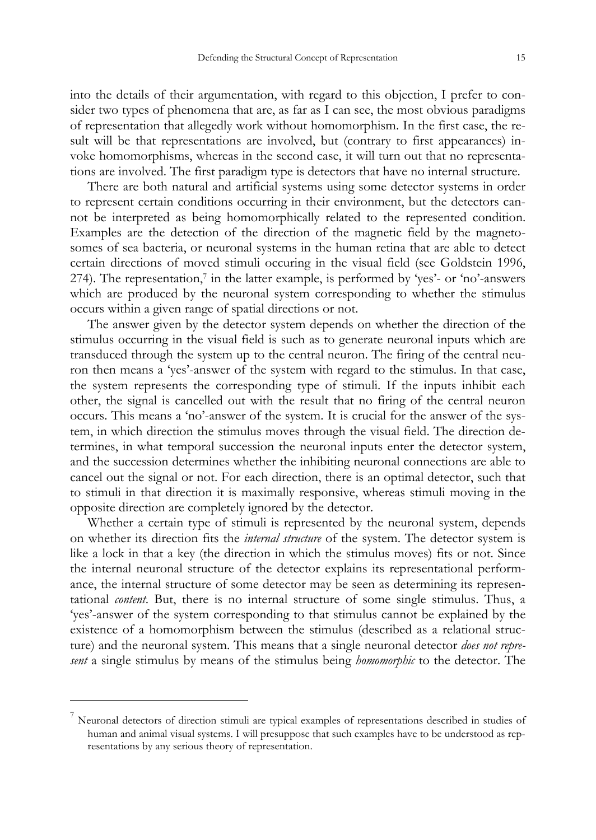into the details of their argumentation, with regard to this objection, I prefer to consider two types of phenomena that are, as far as I can see, the most obvious paradigms of representation that allegedly work without homomorphism. In the first case, the result will be that representations are in[vo](#page-8-0)lved, but (contrary to first appearances) invoke homomorphisms, whereas in the second case, it will turn out that no representations are involved. The first paradigm type is detectors that have no internal structure.

 There are both natural and artificial systems using some detector systems in order to represent certain conditions occurring in their environment, but the detectors cannot be interpreted as being homomorphically related to the represented condition. Examples are the detection of the direction of the magnetic field by the magnetosomes of sea bacteria, or neuronal systems in the human retina that are able to detect certain directions of moved stimuli occuring in the visual field (see Goldstein 1996, 274). The representation,<sup>7</sup> in the latter example, is performed by 'yes'- or 'no'-answers which are produced by the neuronal system corresponding to whether the stimulus occurs within a given range of spatial directions or not.

 The answer given by the detector system depends on whether the direction of the stimulus occurring in the visual field is such as to generate neuronal inputs which are transduced through the system up to the central neuron. The firing of the central neuron then means a 'yes'-answer of the system with regard to the stimulus. In that case, the system represents the corresponding type of stimuli. If the inputs inhibit each other, the signal is cancelled out with the result that no firing of the central neuron occurs. This means a 'no'-answer of the system. It is crucial for the answer of the system, in which direction the stimulus moves through the visual field. The direction determines, in what temporal succession the neuronal inputs enter the detector system, and the succession determines whether the inhibiting neuronal connections are able to cancel out the signal or not. For each direction, there is an optimal detector, such that to stimuli in that direction it is maximally responsive, whereas stimuli moving in the opposite direction are completely ignored by the detector.

Whether a certain type of stimuli is represented by the neuronal system, depends on whether its direction fits the *internal structure* of the system. The detector system is like a lock in that a key (the direction in which the stimulus moves) fits or not. Since the internal neuronal structure of the detector explains its representational performance, the internal structure of some detector may be seen as determining its representational *content*. But, there is no internal structure of some single stimulus. Thus, a 'yes'-answer of the system corresponding to that stimulus cannot be explained by the existence of a homomorphism between the stimulus (described as a relational structure) and the neuronal system. This means that a single neuronal detector *does not represent* a single stimulus by means of the stimulus being *homomorphic* to the detector. The

 $\overline{a}$ 

<span id="page-8-0"></span><sup>&</sup>lt;sup>7</sup> Neuronal detectors of direction stimuli are typical examples of representations described in studies of human and animal visual systems. I will presuppose that such examples have to be understood as representations by any serious theory of representation.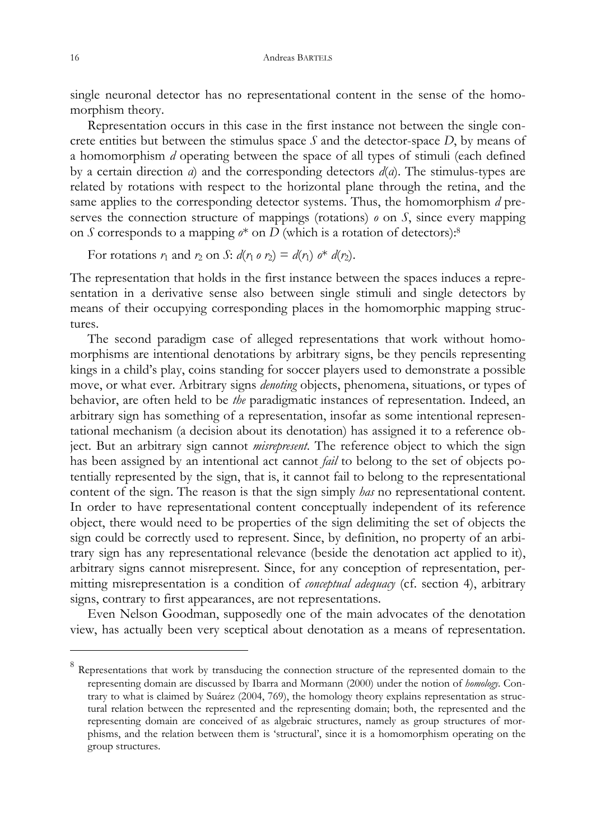single neuronal detector has no representational content in the sense of the homomorphism theory.

 Representation occurs in this case in the first instance not between the single concrete entities but between the stimulus space *S* and the detector-space *D*, by means of a homomorphism *d* operating between the space of all types of stimuli (each defined by a certain direction *α*) and the corresponding detectors *d*(*α*). The stimulus-types are related by rotations with respect to the horizontal plane through the retina, and the same applies to the corresponding detector systems. Thus, the homomorphism *d* preserves the connection structure of mappings (rotations)  $\rho$  on  $S$ , since every mapping on *S* corresponds to a mapping  $\phi^*$  on *D* (which is a rotation of detectors):<sup>8</sup>

For rotations  $r_1$  and  $r_2$  on  $S: d(r_1 \circ r_2) = d(r_1) \circ^* d(r_2)$ .

The representation that holds in the first instance between the spaces induces a representation in a derivative sense also between single stimuli and single detectors by means of their occupying corresponding places in the homomorphic mapping structures.

 The second paradigm case of alleged representations that work without homomorphisms are intentional denotations by arbitrary signs, be they pencils representing kings in a child's play, coins standing for soccer players used to demonstrate a possible move, or what ever. Arbitrary signs *denoting* objects, phenomena, situations, or types of behavior, are often held to be *the* paradigmatic instances of representation. Indeed, an arbitrary sign has something of a representation, insofar as some intentional representational mechanism (a decision about its denotation) has assigned it to a reference object. But an arbitrary sign cannot *misrepresent*. The reference object to which the sign has been assigned by an intentional act cannot *fail* to belong to the set of objects potentially represented by the sign, that is, it cannot fail to belong to the representational content of the sign. The reason is that the sign simply *has* no representational content. In order to have representational content conceptually independent of its reference object, there would need to be properties of the sign delimiting the set of objects the sign could be correctly used to represent. Since, by definition, no property of an arbitrary sign has any representational relevance (beside the denotation act applied to it), arbitrary signs cannot misrepresent. Since, for any conception of representation, permitting misrepresentation is a condition of *conceptual adequacy* (cf. section 4), arbitrary signs, contrary to first appearances, are not representations.

 Even Nelson Goodman, supposedly one of the main advocates of the denotation view, has actually been very sceptical about denotation as a means of representation.

 $\overline{a}$ 

 $8$  Representations that work by transducing the connection structure of the represented domain to the representing domain are discussed by Ibarra and Mormann (2000) under the notion of *homology.* Contrary to what is claimed by Suárez (2004, 769), the homology theory explains representation as structural relation between the represented and the representing domain; both, the represented and the representing domain are conceived of as algebraic structures, namely as group structures of morphisms, and the relation between them is 'structural', since it is a homomorphism operating on the group structures.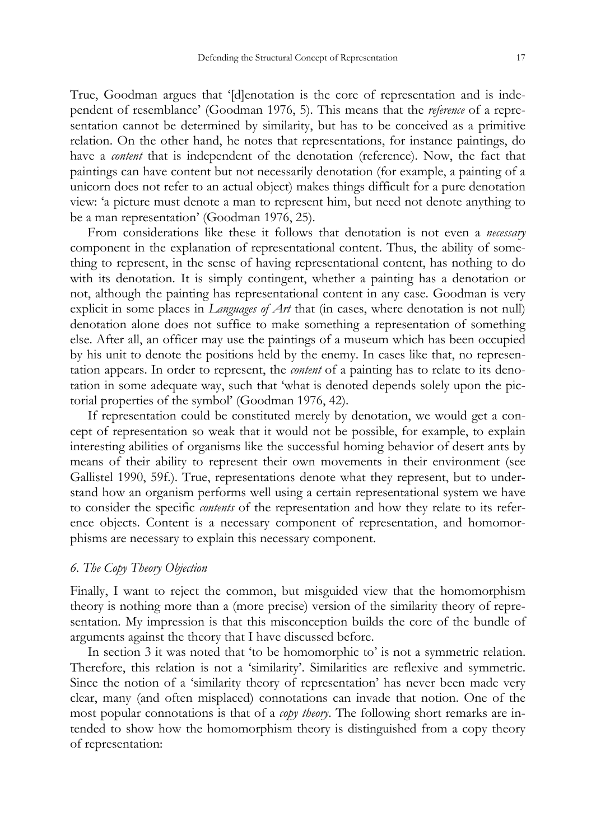True, Goodman argues that '[d]enotation is the core of representation and is independent of resemblance' (Goodman 1976, 5). This means that the *reference* of a representation cannot be determined by similarity, but has to be conceived as a primitive relation. On the other hand, he notes that representations, for instance paintings, do have a *content* that is independent of the denotation (reference). Now, the fact that paintings can have content but not necessarily denotation (for example, a painting of a unicorn does not refer to an actual object) makes things difficult for a pure denotation view: 'a picture must denote a man to represent him, but need not denote anything to be a man representation' (Goodman 1976, 25).

 From considerations like these it follows that denotation is not even a *necessary* component in the explanation of representational content. Thus, the ability of something to represent, in the sense of having representational content, has nothing to do with its denotation. It is simply contingent, whether a painting has a denotation or not, although the painting has representational content in any case. Goodman is very explicit in some places in *Languages of Art* that (in cases, where denotation is not null) denotation alone does not suffice to make something a representation of something else. After all, an officer may use the paintings of a museum which has been occupied by his unit to denote the positions held by the enemy. In cases like that, no representation appears. In order to represent, the *content* of a painting has to relate to its denotation in some adequate way, such that 'what is denoted depends solely upon the pictorial properties of the symbol' (Goodman 1976, 42).

 If representation could be constituted merely by denotation, we would get a concept of representation so weak that it would not be possible, for example, to explain interesting abilities of organisms like the successful homing behavior of desert ants by means of their ability to represent their own movements in their environment (see Gallistel 1990, 59f.). True, representations denote what they represent, but to understand how an organism performs well using a certain representational system we have to consider the specific *contents* of the representation and how they relate to its reference objects. Content is a necessary component of representation, and homomorphisms are necessary to explain this necessary component.

# *6. The Copy Theory Objection*

Finally, I want to reject the common, but misguided view that the homomorphism theory is nothing more than a (more precise) version of the similarity theory of representation. My impression is that this misconception builds the core of the bundle of arguments against the theory that I have discussed before.

 In section 3 it was noted that 'to be homomorphic to' is not a symmetric relation. Therefore, this relation is not a 'similarity'. Similarities are reflexive and symmetric. Since the notion of a 'similarity theory of representation' has never been made very clear, many (and often misplaced) connotations can invade that notion. One of the most popular connotations is that of a *copy theory*. The following short remarks are intended to show how the homomorphism theory is distinguished from a copy theory of representation: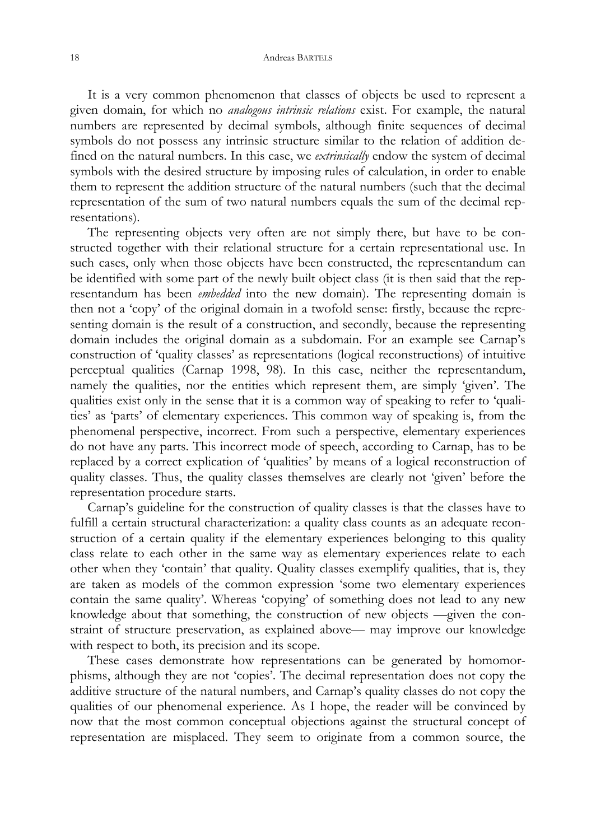#### 18 Andreas BARTELS

 It is a very common phenomenon that classes of objects be used to represent a given domain, for which no *analogous intrinsic relations* exist. For example, the natural numbers are represented by decimal symbols, although finite sequences of decimal symbols do not possess any intrinsic structure similar to the relation of addition defined on the natural numbers. In this case, we *extrinsically* endow the system of decimal symbols with the desired structure by imposing rules of calculation, in order to enable them to represent the addition structure of the natural numbers (such that the decimal representation of the sum of two natural numbers equals the sum of the decimal representations).

 The representing objects very often are not simply there, but have to be constructed together with their relational structure for a certain representational use. In such cases, only when those objects have been constructed, the representandum can be identified with some part of the newly built object class (it is then said that the representandum has been *embedded* into the new domain). The representing domain is then not a 'copy' of the original domain in a twofold sense: firstly, because the representing domain is the result of a construction, and secondly, because the representing domain includes the original domain as a subdomain. For an example see Carnap's construction of 'quality classes' as representations (logical reconstructions) of intuitive perceptual qualities (Carnap 1998, 98). In this case, neither the representandum, namely the qualities, nor the entities which represent them, are simply 'given'. The qualities exist only in the sense that it is a common way of speaking to refer to 'qualities' as 'parts' of elementary experiences. This common way of speaking is, from the phenomenal perspective, incorrect. From such a perspective, elementary experiences do not have any parts. This incorrect mode of speech, according to Carnap, has to be replaced by a correct explication of 'qualities' by means of a logical reconstruction of quality classes. Thus, the quality classes themselves are clearly not 'given' before the representation procedure starts.

 Carnap's guideline for the construction of quality classes is that the classes have to fulfill a certain structural characterization: a quality class counts as an adequate reconstruction of a certain quality if the elementary experiences belonging to this quality class relate to each other in the same way as elementary experiences relate to each other when they 'contain' that quality. Quality classes exemplify qualities, that is, they are taken as models of the common expression 'some two elementary experiences contain the same quality'. Whereas 'copying' of something does not lead to any new knowledge about that something, the construction of new objects —given the constraint of structure preservation, as explained above— may improve our knowledge with respect to both, its precision and its scope.

 These cases demonstrate how representations can be generated by homomorphisms, although they are not 'copies'. The decimal representation does not copy the additive structure of the natural numbers, and Carnap's quality classes do not copy the qualities of our phenomenal experience. As I hope, the reader will be convinced by now that the most common conceptual objections against the structural concept of representation are misplaced. They seem to originate from a common source, the